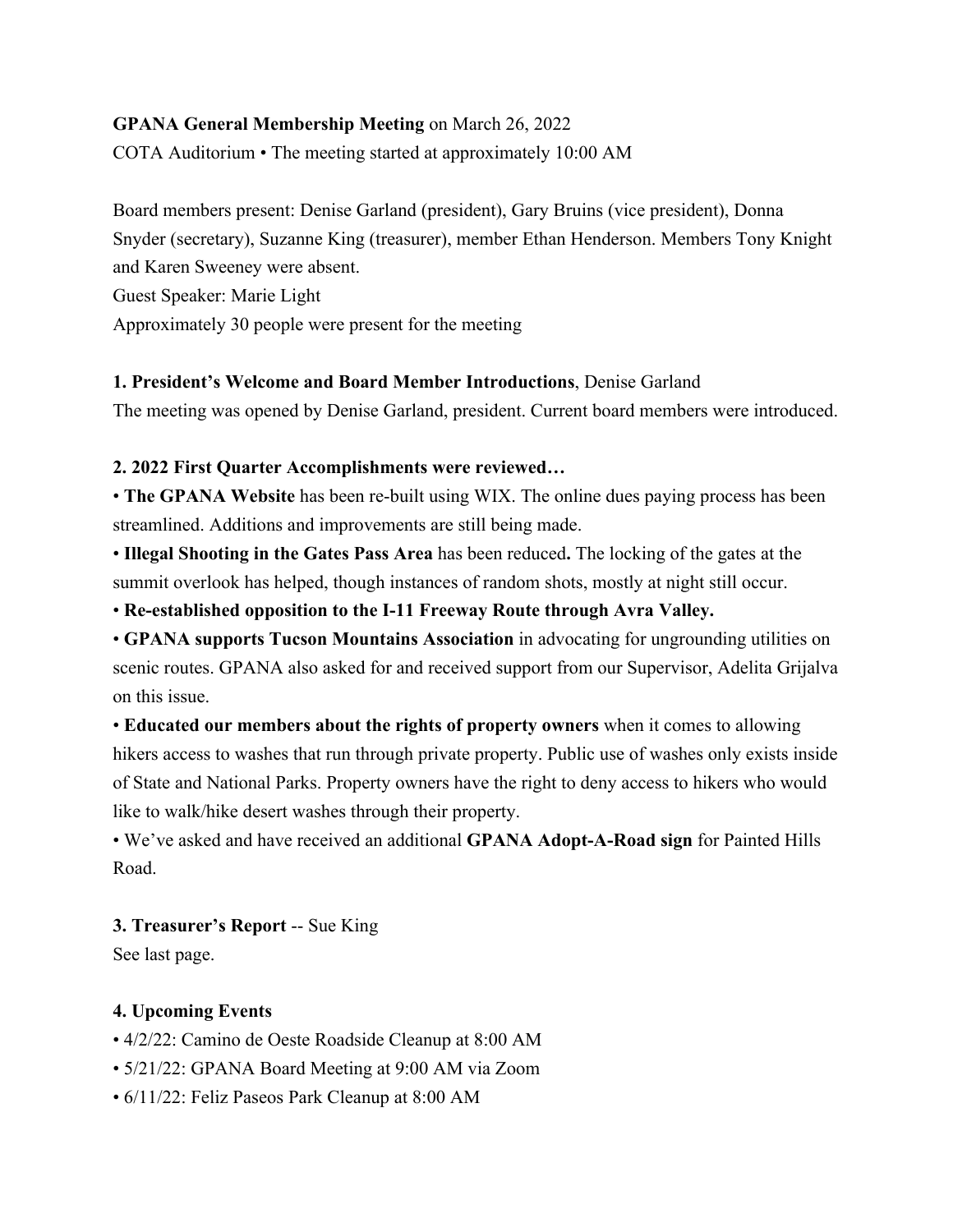## **GPANA General Membership Meeting** on March 26, 2022

COTA Auditorium • The meeting started at approximately 10:00 AM

Board members present: Denise Garland (president), Gary Bruins (vice president), Donna Snyder (secretary), Suzanne King (treasurer), member Ethan Henderson. Members Tony Knight and Karen Sweeney were absent.

Guest Speaker: Marie Light

Approximately 30 people were present for the meeting

## **1. President's Welcome and Board Member Introductions**, Denise Garland

The meeting was opened by Denise Garland, president. Current board members were introduced.

# **2. 2022 First Quarter Accomplishments were reviewed…**

• **The GPANA Website** has been re-built using WIX. The online dues paying process has been streamlined. Additions and improvements are still being made.

• **Illegal Shooting in the Gates Pass Area** has been reduced**.** The locking of the gates at the summit overlook has helped, though instances of random shots, mostly at night still occur.

• **Re-established opposition to the I-11 Freeway Route through Avra Valley.** 

• **GPANA supports Tucson Mountains Association** in advocating for ungrounding utilities on scenic routes. GPANA also asked for and received support from our Supervisor, Adelita Grijalva on this issue.

• **Educated our members about the rights of property owners** when it comes to allowing hikers access to washes that run through private property. Public use of washes only exists inside of State and National Parks. Property owners have the right to deny access to hikers who would like to walk/hike desert washes through their property.

• We've asked and have received an additional **GPANA Adopt-A-Road sign** for Painted Hills Road.

# **3. Treasurer's Report** -- Sue King

See last page.

# **4. Upcoming Events**

- 4/2/22: Camino de Oeste Roadside Cleanup at 8:00 AM
- 5/21/22: GPANA Board Meeting at 9:00 AM via Zoom
- 6/11/22: Feliz Paseos Park Cleanup at 8:00 AM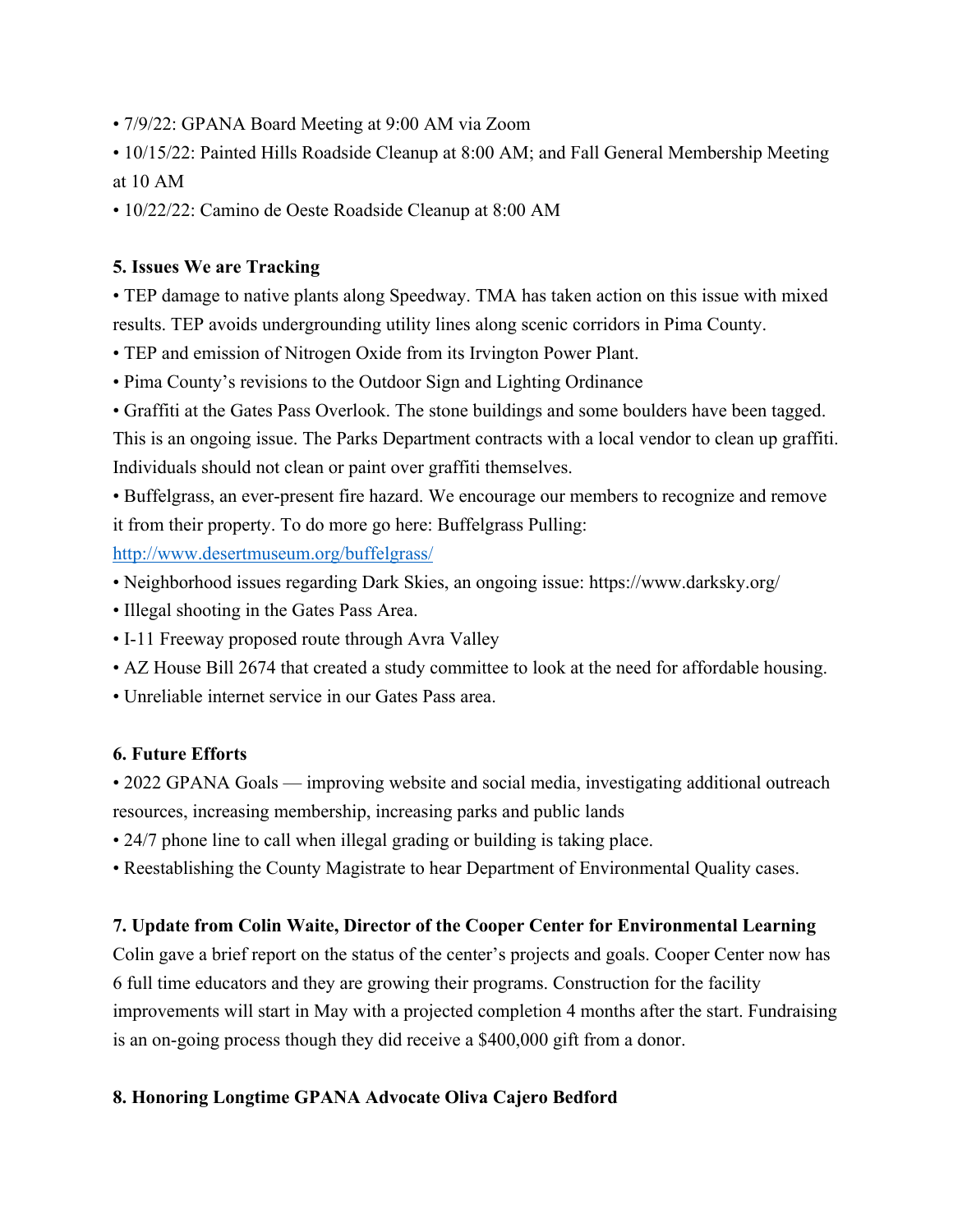- 7/9/22: GPANA Board Meeting at 9:00 AM via Zoom
- 10/15/22: Painted Hills Roadside Cleanup at 8:00 AM; and Fall General Membership Meeting at 10 AM
- 10/22/22: Camino de Oeste Roadside Cleanup at 8:00 AM

## **5. Issues We are Tracking**

• TEP damage to native plants along Speedway. TMA has taken action on this issue with mixed results. TEP avoids undergrounding utility lines along scenic corridors in Pima County.

- TEP and emission of Nitrogen Oxide from its Irvington Power Plant.
- Pima County's revisions to the Outdoor Sign and Lighting Ordinance
- Graffiti at the Gates Pass Overlook. The stone buildings and some boulders have been tagged.

This is an ongoing issue. The Parks Department contracts with a local vendor to clean up graffiti. Individuals should not clean or paint over graffiti themselves.

• Buffelgrass, an ever-present fire hazard. We encourage our members to recognize and remove it from their property. To do more go here: Buffelgrass Pulling:

http://www.desertmuseum.org/buffelgrass/

- Neighborhood issues regarding Dark Skies, an ongoing issue: https://www.darksky.org/
- Illegal shooting in the Gates Pass Area.
- I-11 Freeway proposed route through Avra Valley
- AZ House Bill 2674 that created a study committee to look at the need for affordable housing.
- Unreliable internet service in our Gates Pass area.

#### **6. Future Efforts**

• 2022 GPANA Goals — improving website and social media, investigating additional outreach resources, increasing membership, increasing parks and public lands

- 24/7 phone line to call when illegal grading or building is taking place.
- Reestablishing the County Magistrate to hear Department of Environmental Quality cases.

# **7. Update from Colin Waite, Director of the Cooper Center for Environmental Learning**

Colin gave a brief report on the status of the center's projects and goals. Cooper Center now has 6 full time educators and they are growing their programs. Construction for the facility improvements will start in May with a projected completion 4 months after the start. Fundraising is an on-going process though they did receive a \$400,000 gift from a donor.

#### **8. Honoring Longtime GPANA Advocate Oliva Cajero Bedford**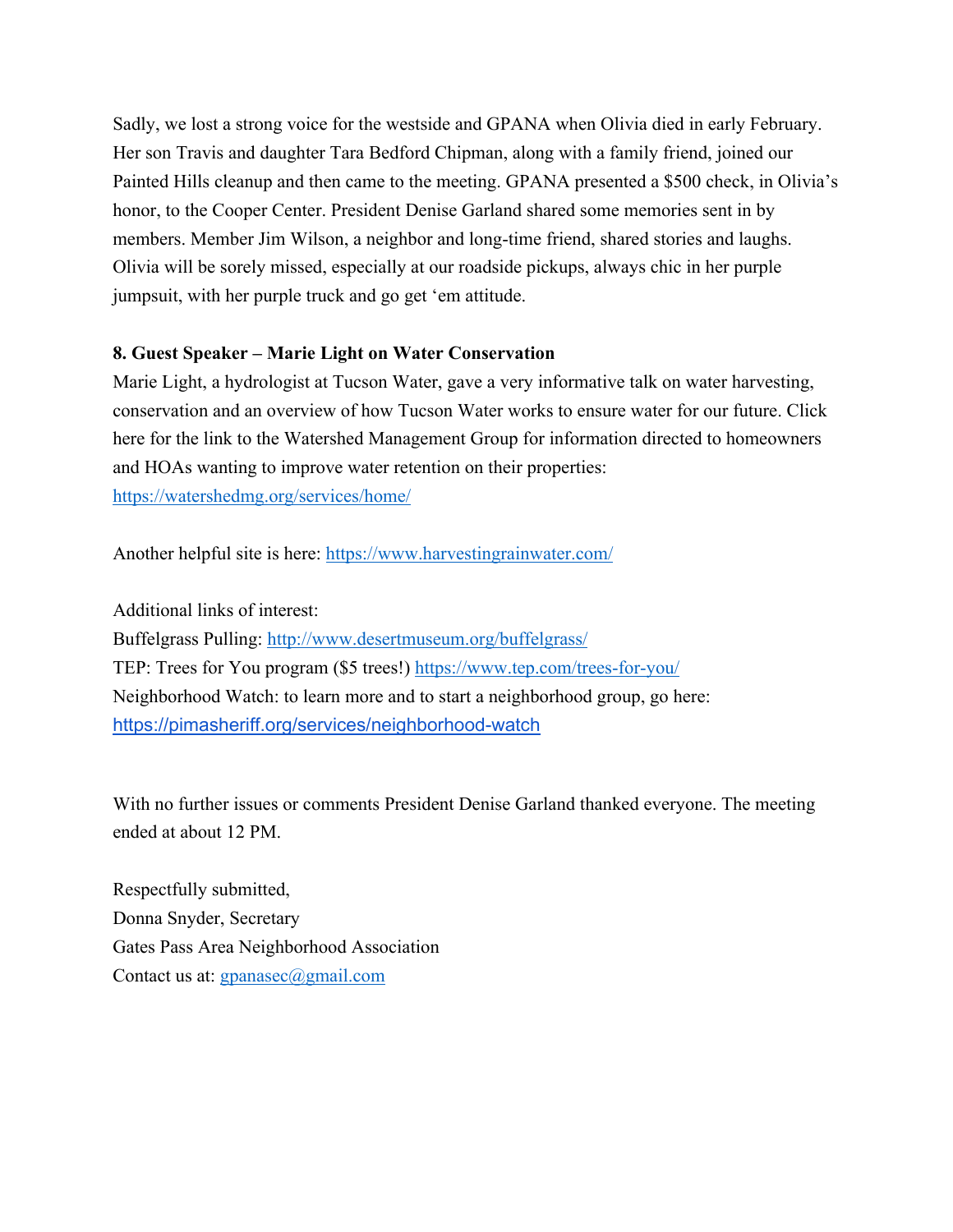Sadly, we lost a strong voice for the westside and GPANA when Olivia died in early February. Her son Travis and daughter Tara Bedford Chipman, along with a family friend, joined our Painted Hills cleanup and then came to the meeting. GPANA presented a \$500 check, in Olivia's honor, to the Cooper Center. President Denise Garland shared some memories sent in by members. Member Jim Wilson, a neighbor and long-time friend, shared stories and laughs. Olivia will be sorely missed, especially at our roadside pickups, always chic in her purple jumpsuit, with her purple truck and go get 'em attitude.

#### **8. Guest Speaker – Marie Light on Water Conservation**

Marie Light, a hydrologist at Tucson Water, gave a very informative talk on water harvesting, conservation and an overview of how Tucson Water works to ensure water for our future. Click here for the link to the Watershed Management Group for information directed to homeowners and HOAs wanting to improve water retention on their properties: https://watershedmg.org/services/home/

Another helpful site is here: https://www.harvestingrainwater.com/

Additional links of interest: Buffelgrass Pulling: http://www.desertmuseum.org/buffelgrass/ TEP: Trees for You program (\$5 trees!) https://www.tep.com/trees-for-you/ Neighborhood Watch: to learn more and to start a neighborhood group, go here: https://pimasheriff.org/services/neighborhood-watch

With no further issues or comments President Denise Garland thanked everyone. The meeting ended at about 12 PM.

Respectfully submitted, Donna Snyder, Secretary Gates Pass Area Neighborhood Association Contact us at: gpanasec@gmail.com